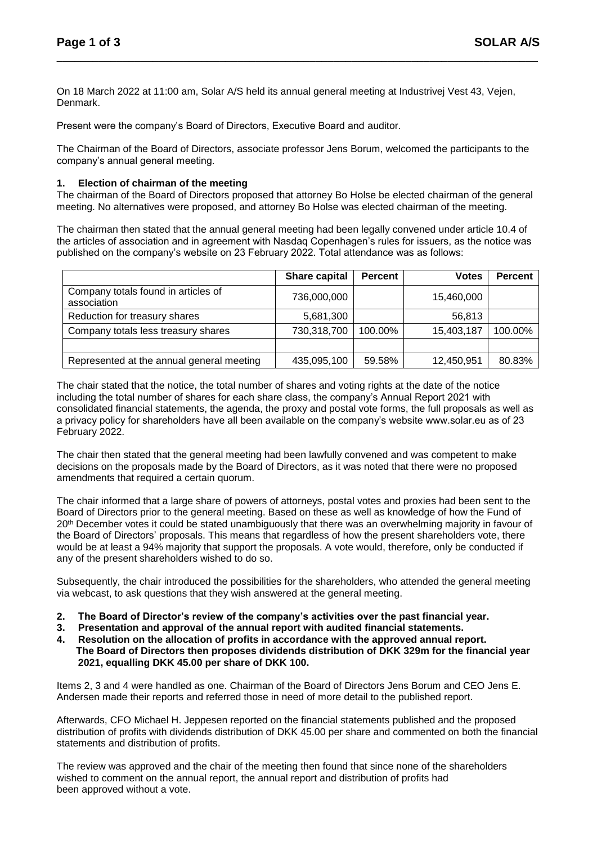On 18 March 2022 at 11:00 am, Solar A/S held its annual general meeting at Industrivej Vest 43, Vejen, Denmark.

**\_\_\_\_\_\_\_\_\_\_\_\_\_\_\_\_\_\_\_\_\_\_\_\_\_\_\_\_\_\_\_\_\_\_\_\_\_\_\_\_\_\_\_\_\_\_\_\_\_\_\_\_\_\_\_\_\_\_\_\_\_\_\_\_\_\_\_\_\_\_\_\_\_\_\_\_\_\_\_\_** 

Present were the company's Board of Directors, Executive Board and auditor.

The Chairman of the Board of Directors, associate professor Jens Borum, welcomed the participants to the company's annual general meeting.

#### **1. Election of chairman of the meeting**

The chairman of the Board of Directors proposed that attorney Bo Holse be elected chairman of the general meeting. No alternatives were proposed, and attorney Bo Holse was elected chairman of the meeting.

The chairman then stated that the annual general meeting had been legally convened under article 10.4 of the articles of association and in agreement with Nasdaq Copenhagen's rules for issuers, as the notice was published on the company's website on 23 February 2022. Total attendance was as follows:

|                                                    | Share capital | <b>Percent</b> | <b>Votes</b> | <b>Percent</b> |
|----------------------------------------------------|---------------|----------------|--------------|----------------|
| Company totals found in articles of<br>association | 736,000,000   |                | 15,460,000   |                |
| Reduction for treasury shares                      | 5,681,300     |                | 56,813       |                |
| Company totals less treasury shares                | 730,318,700   | 100.00%        | 15,403,187   | 100.00%        |
|                                                    |               |                |              |                |
| Represented at the annual general meeting          | 435,095,100   | 59.58%         | 12,450,951   | 80.83%         |

The chair stated that the notice, the total number of shares and voting rights at the date of the notice including the total number of shares for each share class, the company's Annual Report 2021 with consolidated financial statements, the agenda, the proxy and postal vote forms, the full proposals as well as a privacy policy for shareholders have all been available on the company's website www.solar.eu as of 23 February 2022.

The chair then stated that the general meeting had been lawfully convened and was competent to make decisions on the proposals made by the Board of Directors, as it was noted that there were no proposed amendments that required a certain quorum.

The chair informed that a large share of powers of attorneys, postal votes and proxies had been sent to the Board of Directors prior to the general meeting. Based on these as well as knowledge of how the Fund of 20<sup>th</sup> December votes it could be stated unambiguously that there was an overwhelming majority in favour of the Board of Directors' proposals. This means that regardless of how the present shareholders vote, there would be at least a 94% majority that support the proposals. A vote would, therefore, only be conducted if any of the present shareholders wished to do so.

Subsequently, the chair introduced the possibilities for the shareholders, who attended the general meeting via webcast, to ask questions that they wish answered at the general meeting.

- **2. The Board of Director's review of the company's activities over the past financial year.**
- **3. Presentation and approval of the annual report with audited financial statements.**
- **4. Resolution on the allocation of profits in accordance with the approved annual report. The Board of Directors then proposes dividends distribution of DKK 329m for the financial year 2021, equalling DKK 45.00 per share of DKK 100.**

Items 2, 3 and 4 were handled as one. Chairman of the Board of Directors Jens Borum and CEO Jens E. Andersen made their reports and referred those in need of more detail to the published report.

Afterwards, CFO Michael H. Jeppesen reported on the financial statements published and the proposed distribution of profits with dividends distribution of DKK 45.00 per share and commented on both the financial statements and distribution of profits.

The review was approved and the chair of the meeting then found that since none of the shareholders wished to comment on the annual report, the annual report and distribution of profits had been approved without a vote.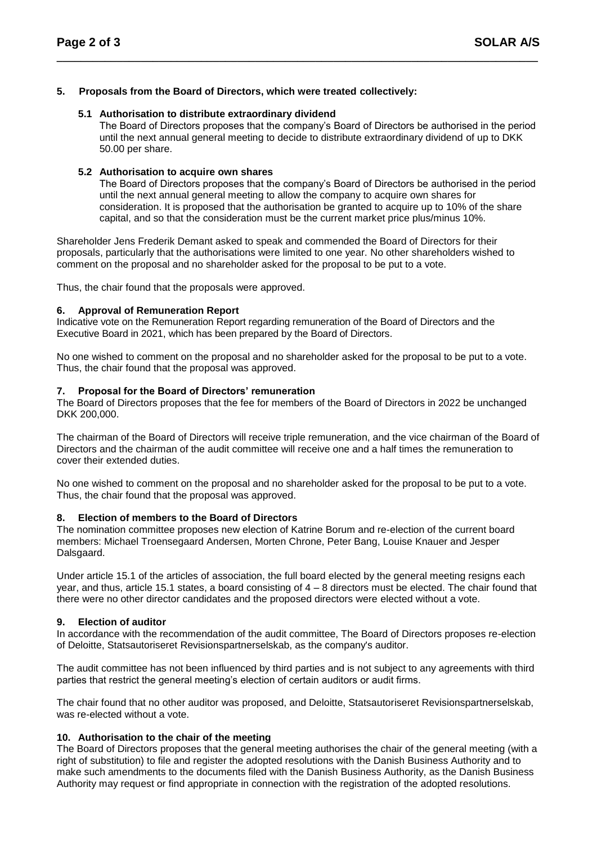# **5. Proposals from the Board of Directors, which were treated collectively:**

### **5.1 Authorisation to distribute extraordinary dividend**

The Board of Directors proposes that the company's Board of Directors be authorised in the period until the next annual general meeting to decide to distribute extraordinary dividend of up to DKK 50.00 per share.

**\_\_\_\_\_\_\_\_\_\_\_\_\_\_\_\_\_\_\_\_\_\_\_\_\_\_\_\_\_\_\_\_\_\_\_\_\_\_\_\_\_\_\_\_\_\_\_\_\_\_\_\_\_\_\_\_\_\_\_\_\_\_\_\_\_\_\_\_\_\_\_\_\_\_\_\_\_\_\_\_** 

#### **5.2 Authorisation to acquire own shares**

The Board of Directors proposes that the company's Board of Directors be authorised in the period until the next annual general meeting to allow the company to acquire own shares for consideration. It is proposed that the authorisation be granted to acquire up to 10% of the share capital, and so that the consideration must be the current market price plus/minus 10%.

Shareholder Jens Frederik Demant asked to speak and commended the Board of Directors for their proposals, particularly that the authorisations were limited to one year. No other shareholders wished to comment on the proposal and no shareholder asked for the proposal to be put to a vote.

Thus, the chair found that the proposals were approved.

#### **6. Approval of Remuneration Report**

Indicative vote on the Remuneration Report regarding remuneration of the Board of Directors and the Executive Board in 2021, which has been prepared by the Board of Directors.

No one wished to comment on the proposal and no shareholder asked for the proposal to be put to a vote. Thus, the chair found that the proposal was approved.

#### **7. Proposal for the Board of Directors' remuneration**

The Board of Directors proposes that the fee for members of the Board of Directors in 2022 be unchanged DKK 200,000.

The chairman of the Board of Directors will receive triple remuneration, and the vice chairman of the Board of Directors and the chairman of the audit committee will receive one and a half times the remuneration to cover their extended duties.

No one wished to comment on the proposal and no shareholder asked for the proposal to be put to a vote. Thus, the chair found that the proposal was approved.

# **8. Election of members to the Board of Directors**

The nomination committee proposes new election of Katrine Borum and re-election of the current board members: Michael Troensegaard Andersen, Morten Chrone, Peter Bang, Louise Knauer and Jesper Dalsgaard.

Under article 15.1 of the articles of association, the full board elected by the general meeting resigns each year, and thus, article 15.1 states, a board consisting of 4 – 8 directors must be elected. The chair found that there were no other director candidates and the proposed directors were elected without a vote.

# **9. Election of auditor**

In accordance with the recommendation of the audit committee, The Board of Directors proposes re-election of Deloitte, Statsautoriseret Revisionspartnerselskab, as the company's auditor.

The audit committee has not been influenced by third parties and is not subject to any agreements with third parties that restrict the general meeting's election of certain auditors or audit firms.

The chair found that no other auditor was proposed, and Deloitte, Statsautoriseret Revisionspartnerselskab, was re-elected without a vote.

# **10. Authorisation to the chair of the meeting**

The Board of Directors proposes that the general meeting authorises the chair of the general meeting (with a right of substitution) to file and register the adopted resolutions with the Danish Business Authority and to make such amendments to the documents filed with the Danish Business Authority, as the Danish Business Authority may request or find appropriate in connection with the registration of the adopted resolutions.